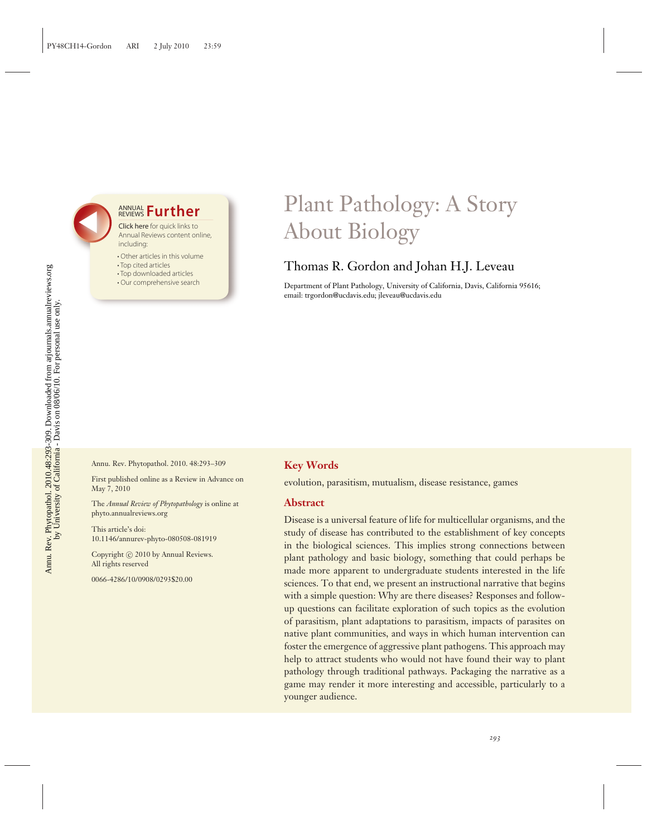## **ANNUAL Further**

Click here for quick links to Annual Reviews content online, including:

- Other articles in this volume
- Top cited articles
- Top downloaded articles
- Our comprehensive search

## Plant Pathology: A Story About Biology

## Thomas R. Gordon and Johan H.J. Leveau

Department of Plant Pathology, University of California, Davis, California 95616; email: trgordon@ucdavis.edu; jleveau@ucdavis.edu

Annu. Rev. Phytopathol. 2010. 48:293–309

First published online as a Review in Advance on May 7, 2010

The *Annual Review of Phytopathology* is online at phyto.annualreviews.org

This article's doi: 10.1146/annurev-phyto-080508-081919

Copyright © 2010 by Annual Reviews. All rights reserved

0066-4286/10/0908/0293\$20.00

## **Key Words**

evolution, parasitism, mutualism, disease resistance, games

## **Abstract**

Disease is a universal feature of life for multicellular organisms, and the study of disease has contributed to the establishment of key concepts in the biological sciences. This implies strong connections between plant pathology and basic biology, something that could perhaps be made more apparent to undergraduate students interested in the life sciences. To that end, we present an instructional narrative that begins with a simple question: Why are there diseases? Responses and followup questions can facilitate exploration of such topics as the evolution of parasitism, plant adaptations to parasitism, impacts of parasites on native plant communities, and ways in which human intervention can foster the emergence of aggressive plant pathogens. This approach may help to attract students who would not have found their way to plant pathology through traditional pathways. Packaging the narrative as a game may render it more interesting and accessible, particularly to a younger audience.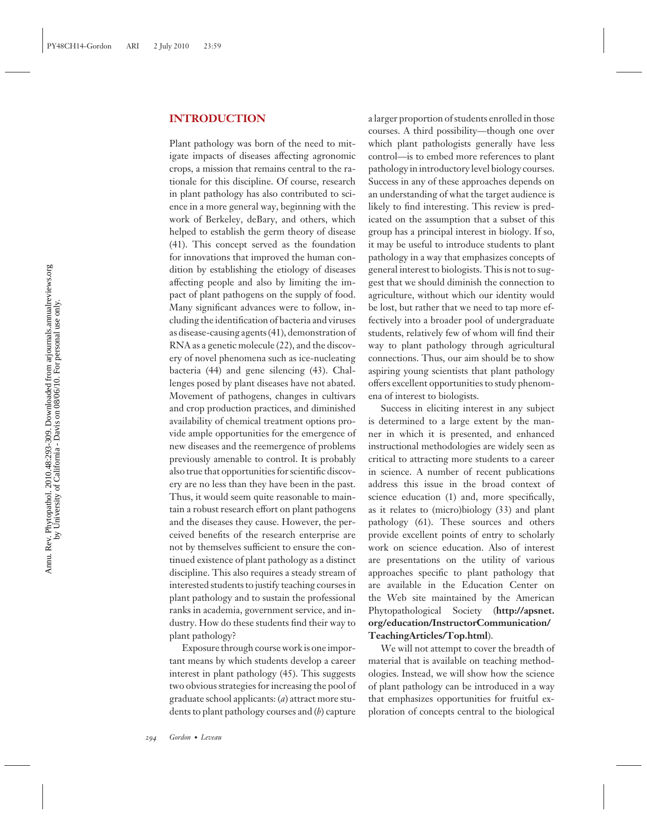## **INTRODUCTION**

Plant pathology was born of the need to mitigate impacts of diseases affecting agronomic crops, a mission that remains central to the rationale for this discipline. Of course, research in plant pathology has also contributed to science in a more general way, beginning with the work of Berkeley, deBary, and others, which helped to establish the germ theory of disease (41). This concept served as the foundation for innovations that improved the human condition by establishing the etiology of diseases affecting people and also by limiting the impact of plant pathogens on the supply of food. Many significant advances were to follow, including the identification of bacteria and viruses as disease-causing agents (41), demonstration of RNA as a genetic molecule (22), and the discovery of novel phenomena such as ice-nucleating bacteria (44) and gene silencing (43). Challenges posed by plant diseases have not abated. Movement of pathogens, changes in cultivars and crop production practices, and diminished availability of chemical treatment options provide ample opportunities for the emergence of new diseases and the reemergence of problems previously amenable to control. It is probably also true that opportunities for scientific discovery are no less than they have been in the past. Thus, it would seem quite reasonable to maintain a robust research effort on plant pathogens and the diseases they cause. However, the perceived benefits of the research enterprise are not by themselves sufficient to ensure the continued existence of plant pathology as a distinct discipline. This also requires a steady stream of interested students to justify teaching courses in plant pathology and to sustain the professional ranks in academia, government service, and industry. How do these students find their way to plant pathology?

Exposure through course work is one important means by which students develop a career interest in plant pathology (45). This suggests two obvious strategies for increasing the pool of graduate school applicants: (*a*) attract more students to plant pathology courses and (*b*) capture

a larger proportion of students enrolled in those courses. A third possibility—though one over which plant pathologists generally have less control—is to embed more references to plant pathology in introductory level biology courses. Success in any of these approaches depends on an understanding of what the target audience is likely to find interesting. This review is predicated on the assumption that a subset of this group has a principal interest in biology. If so, it may be useful to introduce students to plant pathology in a way that emphasizes concepts of general interest to biologists. This is not to suggest that we should diminish the connection to agriculture, without which our identity would be lost, but rather that we need to tap more effectively into a broader pool of undergraduate students, relatively few of whom will find their way to plant pathology through agricultural connections. Thus, our aim should be to show aspiring young scientists that plant pathology offers excellent opportunities to study phenomena of interest to biologists.

Success in eliciting interest in any subject is determined to a large extent by the manner in which it is presented, and enhanced instructional methodologies are widely seen as critical to attracting more students to a career in science. A number of recent publications address this issue in the broad context of science education (1) and, more specifically, as it relates to (micro)biology (33) and plant pathology (61). These sources and others provide excellent points of entry to scholarly work on science education. Also of interest are presentations on the utility of various approaches specific to plant pathology that are available in the Education Center on the Web site maintained by the American Phytopathological Society (**http://apsnet. org/education/InstructorCommunication/ TeachingArticles/Top.html**).

We will not attempt to cover the breadth of material that is available on teaching methodologies. Instead, we will show how the science of plant pathology can be introduced in a way that emphasizes opportunities for fruitful exploration of concepts central to the biological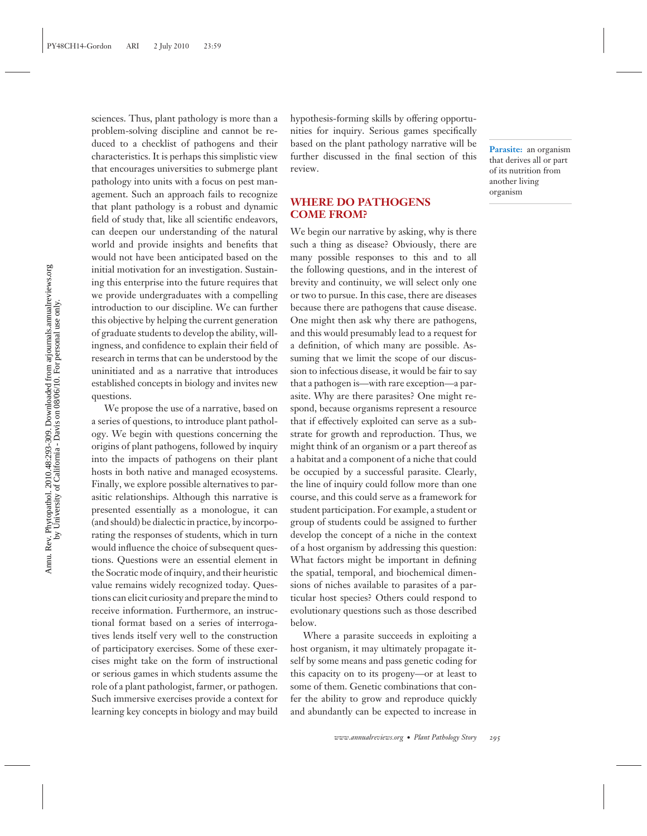sciences. Thus, plant pathology is more than a problem-solving discipline and cannot be reduced to a checklist of pathogens and their characteristics. It is perhaps this simplistic view that encourages universities to submerge plant pathology into units with a focus on pest management. Such an approach fails to recognize that plant pathology is a robust and dynamic field of study that, like all scientific endeavors, can deepen our understanding of the natural world and provide insights and benefits that would not have been anticipated based on the initial motivation for an investigation. Sustaining this enterprise into the future requires that we provide undergraduates with a compelling introduction to our discipline. We can further this objective by helping the current generation of graduate students to develop the ability, willingness, and confidence to explain their field of research in terms that can be understood by the uninitiated and as a narrative that introduces established concepts in biology and invites new questions.

We propose the use of a narrative, based on a series of questions, to introduce plant pathology. We begin with questions concerning the origins of plant pathogens, followed by inquiry into the impacts of pathogens on their plant hosts in both native and managed ecosystems. Finally, we explore possible alternatives to parasitic relationships. Although this narrative is presented essentially as a monologue, it can (and should) be dialectic in practice, by incorporating the responses of students, which in turn would influence the choice of subsequent questions. Questions were an essential element in the Socratic mode of inquiry, and their heuristic value remains widely recognized today. Questions can elicit curiosity and prepare the mind to receive information. Furthermore, an instructional format based on a series of interrogatives lends itself very well to the construction of participatory exercises. Some of these exercises might take on the form of instructional or serious games in which students assume the role of a plant pathologist, farmer, or pathogen. Such immersive exercises provide a context for learning key concepts in biology and may build hypothesis-forming skills by offering opportunities for inquiry. Serious games specifically based on the plant pathology narrative will be further discussed in the final section of this review.

## **WHERE DO PATHOGENS COME FROM?**

We begin our narrative by asking, why is there such a thing as disease? Obviously, there are many possible responses to this and to all the following questions, and in the interest of brevity and continuity, we will select only one or two to pursue. In this case, there are diseases because there are pathogens that cause disease. One might then ask why there are pathogens, and this would presumably lead to a request for a definition, of which many are possible. Assuming that we limit the scope of our discussion to infectious disease, it would be fair to say that a pathogen is—with rare exception—a parasite. Why are there parasites? One might respond, because organisms represent a resource that if effectively exploited can serve as a substrate for growth and reproduction. Thus, we might think of an organism or a part thereof as a habitat and a component of a niche that could be occupied by a successful parasite. Clearly, the line of inquiry could follow more than one course, and this could serve as a framework for student participation. For example, a student or group of students could be assigned to further develop the concept of a niche in the context of a host organism by addressing this question: What factors might be important in defining the spatial, temporal, and biochemical dimensions of niches available to parasites of a particular host species? Others could respond to evolutionary questions such as those described below.

Where a parasite succeeds in exploiting a host organism, it may ultimately propagate itself by some means and pass genetic coding for this capacity on to its progeny—or at least to some of them. Genetic combinations that confer the ability to grow and reproduce quickly and abundantly can be expected to increase in

**Parasite:** an organism that derives all or part of its nutrition from another living organism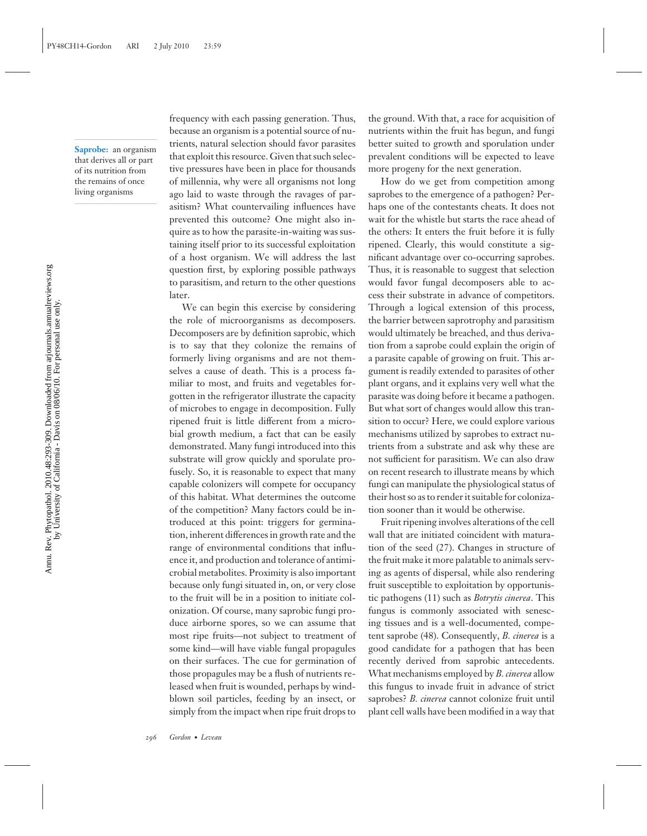**Saprobe:** an organism that derives all or part of its nutrition from the remains of once living organisms

frequency with each passing generation. Thus, because an organism is a potential source of nutrients, natural selection should favor parasites that exploit this resource. Given that such selective pressures have been in place for thousands of millennia, why were all organisms not long ago laid to waste through the ravages of parasitism? What countervailing influences have prevented this outcome? One might also inquire as to how the parasite-in-waiting was sustaining itself prior to its successful exploitation of a host organism. We will address the last question first, by exploring possible pathways to parasitism, and return to the other questions later.

We can begin this exercise by considering the role of microorganisms as decomposers. Decomposers are by definition saprobic, which is to say that they colonize the remains of formerly living organisms and are not themselves a cause of death. This is a process familiar to most, and fruits and vegetables forgotten in the refrigerator illustrate the capacity of microbes to engage in decomposition. Fully ripened fruit is little different from a microbial growth medium, a fact that can be easily demonstrated. Many fungi introduced into this substrate will grow quickly and sporulate profusely. So, it is reasonable to expect that many capable colonizers will compete for occupancy of this habitat. What determines the outcome of the competition? Many factors could be introduced at this point: triggers for germination, inherent differences in growth rate and the range of environmental conditions that influence it, and production and tolerance of antimicrobial metabolites. Proximity is also important because only fungi situated in, on, or very close to the fruit will be in a position to initiate colonization. Of course, many saprobic fungi produce airborne spores, so we can assume that most ripe fruits—not subject to treatment of some kind—will have viable fungal propagules on their surfaces. The cue for germination of those propagules may be a flush of nutrients released when fruit is wounded, perhaps by windblown soil particles, feeding by an insect, or simply from the impact when ripe fruit drops to

the ground. With that, a race for acquisition of nutrients within the fruit has begun, and fungi better suited to growth and sporulation under prevalent conditions will be expected to leave more progeny for the next generation.

How do we get from competition among saprobes to the emergence of a pathogen? Perhaps one of the contestants cheats. It does not wait for the whistle but starts the race ahead of the others: It enters the fruit before it is fully ripened. Clearly, this would constitute a significant advantage over co-occurring saprobes. Thus, it is reasonable to suggest that selection would favor fungal decomposers able to access their substrate in advance of competitors. Through a logical extension of this process, the barrier between saprotrophy and parasitism would ultimately be breached, and thus derivation from a saprobe could explain the origin of a parasite capable of growing on fruit. This argument is readily extended to parasites of other plant organs, and it explains very well what the parasite was doing before it became a pathogen. But what sort of changes would allow this transition to occur? Here, we could explore various mechanisms utilized by saprobes to extract nutrients from a substrate and ask why these are not sufficient for parasitism. We can also draw on recent research to illustrate means by which fungi can manipulate the physiological status of their host so as to render it suitable for colonization sooner than it would be otherwise.

Fruit ripening involves alterations of the cell wall that are initiated coincident with maturation of the seed (27). Changes in structure of the fruit make it more palatable to animals serving as agents of dispersal, while also rendering fruit susceptible to exploitation by opportunistic pathogens (11) such as *Botrytis cinerea*. This fungus is commonly associated with senescing tissues and is a well-documented, competent saprobe (48). Consequently, *B. cinerea* is a good candidate for a pathogen that has been recently derived from saprobic antecedents. What mechanisms employed by *B. cinerea* allow this fungus to invade fruit in advance of strict saprobes? *B. cinerea* cannot colonize fruit until plant cell walls have been modified in a way that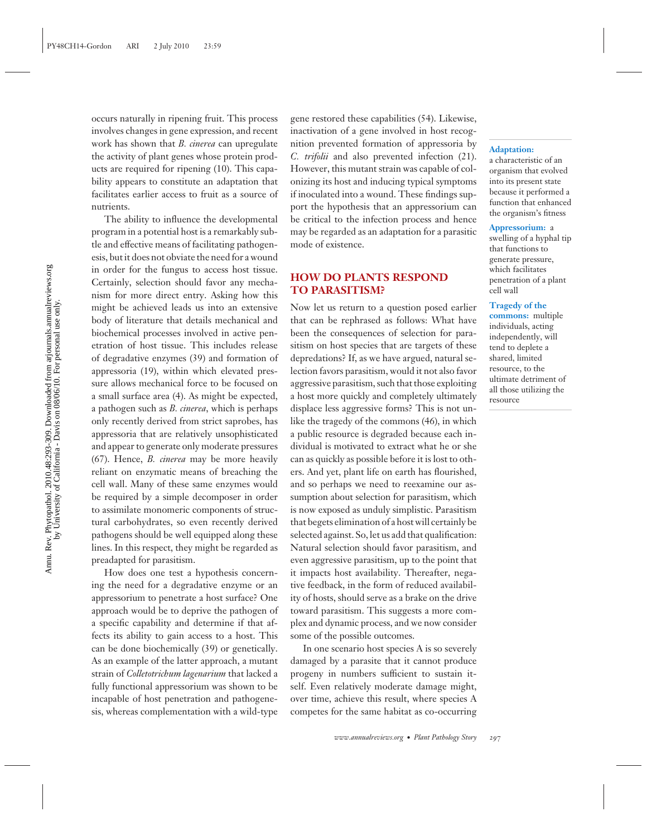occurs naturally in ripening fruit. This process involves changes in gene expression, and recent work has shown that *B. cinerea* can upregulate the activity of plant genes whose protein products are required for ripening (10). This capability appears to constitute an adaptation that facilitates earlier access to fruit as a source of nutrients.

The ability to influence the developmental program in a potential host is a remarkably subtle and effective means of facilitating pathogenesis, but it does not obviate the need for a wound in order for the fungus to access host tissue. Certainly, selection should favor any mechanism for more direct entry. Asking how this might be achieved leads us into an extensive body of literature that details mechanical and biochemical processes involved in active penetration of host tissue. This includes release of degradative enzymes (39) and formation of appressoria (19), within which elevated pressure allows mechanical force to be focused on a small surface area (4). As might be expected, a pathogen such as *B. cinerea*, which is perhaps only recently derived from strict saprobes, has appressoria that are relatively unsophisticated and appear to generate only moderate pressures (67). Hence, *B. cinerea* may be more heavily reliant on enzymatic means of breaching the cell wall. Many of these same enzymes would be required by a simple decomposer in order to assimilate monomeric components of structural carbohydrates, so even recently derived pathogens should be well equipped along these lines. In this respect, they might be regarded as preadapted for parasitism.

How does one test a hypothesis concerning the need for a degradative enzyme or an appressorium to penetrate a host surface? One approach would be to deprive the pathogen of a specific capability and determine if that affects its ability to gain access to a host. This can be done biochemically (39) or genetically. As an example of the latter approach, a mutant strain of *Colletotrichum lagenarium* that lacked a fully functional appressorium was shown to be incapable of host penetration and pathogenesis, whereas complementation with a wild-type

gene restored these capabilities (54). Likewise, inactivation of a gene involved in host recognition prevented formation of appressoria by *C. trifolii* and also prevented infection (21). However, this mutant strain was capable of colonizing its host and inducing typical symptoms if inoculated into a wound. These findings support the hypothesis that an appressorium can be critical to the infection process and hence may be regarded as an adaptation for a parasitic mode of existence.

## **HOW DO PLANTS RESPOND TO PARASITISM?**

Now let us return to a question posed earlier that can be rephrased as follows: What have been the consequences of selection for parasitism on host species that are targets of these depredations? If, as we have argued, natural selection favors parasitism, would it not also favor aggressive parasitism, such that those exploiting a host more quickly and completely ultimately displace less aggressive forms? This is not unlike the tragedy of the commons (46), in which a public resource is degraded because each individual is motivated to extract what he or she can as quickly as possible before it is lost to others. And yet, plant life on earth has flourished, and so perhaps we need to reexamine our assumption about selection for parasitism, which is now exposed as unduly simplistic. Parasitism that begets elimination of a host will certainly be selected against. So, let us add that qualification: Natural selection should favor parasitism, and even aggressive parasitism, up to the point that it impacts host availability. Thereafter, negative feedback, in the form of reduced availability of hosts, should serve as a brake on the drive toward parasitism. This suggests a more complex and dynamic process, and we now consider some of the possible outcomes.

In one scenario host species A is so severely damaged by a parasite that it cannot produce progeny in numbers sufficient to sustain itself. Even relatively moderate damage might, over time, achieve this result, where species A competes for the same habitat as co-occurring

## **Adaptation:**

a characteristic of an organism that evolved into its present state because it performed a function that enhanced the organism's fitness

#### **Appressorium:** a

swelling of a hyphal tip that functions to generate pressure, which facilitates penetration of a plant cell wall

#### **Tragedy of the**

**commons:** multiple individuals, acting independently, will tend to deplete a shared, limited resource, to the ultimate detriment of all those utilizing the resource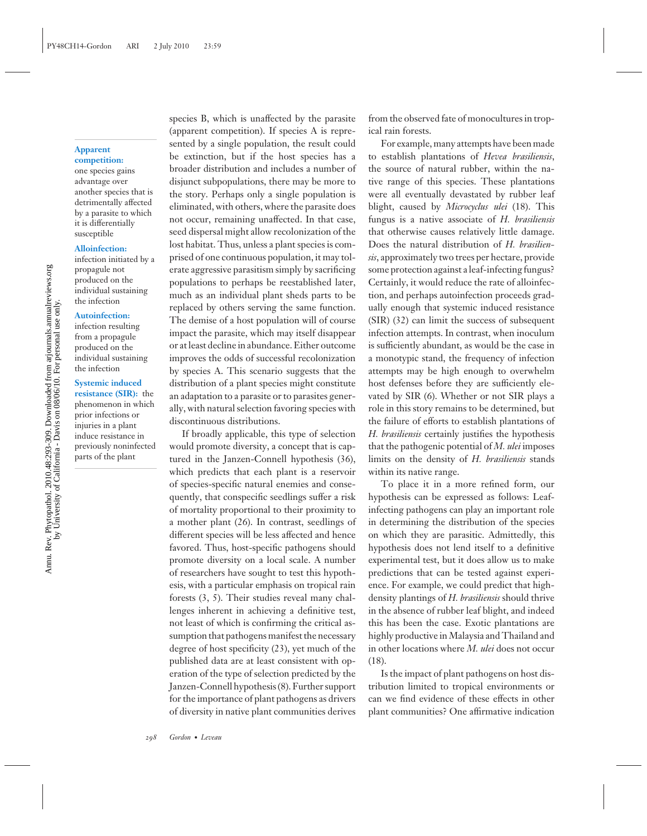## **Apparent competition:**

one species gains advantage over another species that is detrimentally affected by a parasite to which it is differentially susceptible

#### **Alloinfection:**

infection initiated by a propagule not produced on the individual sustaining the infection

## **Autoinfection:**

infection resulting from a propagule produced on the individual sustaining the infection

## **Systemic induced**

**resistance (SIR):** the phenomenon in which prior infections or injuries in a plant induce resistance in previously noninfected parts of the plant

species B, which is unaffected by the parasite (apparent competition). If species A is represented by a single population, the result could be extinction, but if the host species has a broader distribution and includes a number of disjunct subpopulations, there may be more to the story. Perhaps only a single population is eliminated, with others, where the parasite does not occur, remaining unaffected. In that case, seed dispersal might allow recolonization of the lost habitat. Thus, unless a plant species is comprised of one continuous population, it may tolerate aggressive parasitism simply by sacrificing populations to perhaps be reestablished later, much as an individual plant sheds parts to be replaced by others serving the same function. The demise of a host population will of course impact the parasite, which may itself disappear or at least decline in abundance. Either outcome improves the odds of successful recolonization by species A. This scenario suggests that the distribution of a plant species might constitute an adaptation to a parasite or to parasites generally, with natural selection favoring species with discontinuous distributions.

If broadly applicable, this type of selection would promote diversity, a concept that is captured in the Janzen-Connell hypothesis (36), which predicts that each plant is a reservoir of species-specific natural enemies and consequently, that conspecific seedlings suffer a risk of mortality proportional to their proximity to a mother plant (26). In contrast, seedlings of different species will be less affected and hence favored. Thus, host-specific pathogens should promote diversity on a local scale. A number of researchers have sought to test this hypothesis, with a particular emphasis on tropical rain forests (3, 5). Their studies reveal many challenges inherent in achieving a definitive test, not least of which is confirming the critical assumption that pathogens manifest the necessary degree of host specificity (23), yet much of the published data are at least consistent with operation of the type of selection predicted by the Janzen-Connell hypothesis (8). Further support for the importance of plant pathogens as drivers of diversity in native plant communities derives

from the observed fate of monocultures in tropical rain forests.

For example, many attempts have been made to establish plantations of *Hevea brasiliensis*, the source of natural rubber, within the native range of this species. These plantations were all eventually devastated by rubber leaf blight, caused by *Microcyclus ulei* (18). This fungus is a native associate of *H. brasiliensis* that otherwise causes relatively little damage. Does the natural distribution of *H. brasiliensis*, approximately two trees per hectare, provide some protection against a leaf-infecting fungus? Certainly, it would reduce the rate of alloinfection, and perhaps autoinfection proceeds gradually enough that systemic induced resistance (SIR) (32) can limit the success of subsequent infection attempts. In contrast, when inoculum is sufficiently abundant, as would be the case in a monotypic stand, the frequency of infection attempts may be high enough to overwhelm host defenses before they are sufficiently elevated by SIR (6). Whether or not SIR plays a role in this story remains to be determined, but the failure of efforts to establish plantations of *H. brasiliensis* certainly justifies the hypothesis that the pathogenic potential of *M. ulei* imposes limits on the density of *H. brasiliensis* stands within its native range.

To place it in a more refined form, our hypothesis can be expressed as follows: Leafinfecting pathogens can play an important role in determining the distribution of the species on which they are parasitic. Admittedly, this hypothesis does not lend itself to a definitive experimental test, but it does allow us to make predictions that can be tested against experience. For example, we could predict that highdensity plantings of *H. brasiliensis* should thrive in the absence of rubber leaf blight, and indeed this has been the case. Exotic plantations are highly productive in Malaysia and Thailand and in other locations where *M. ulei* does not occur (18).

Is the impact of plant pathogens on host distribution limited to tropical environments or can we find evidence of these effects in other plant communities? One affirmative indication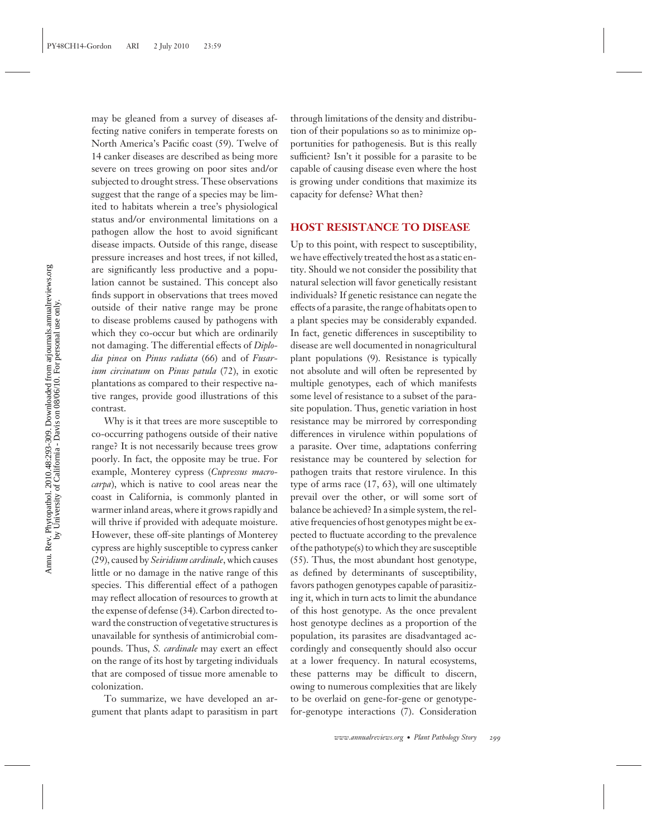may be gleaned from a survey of diseases affecting native conifers in temperate forests on North America's Pacific coast (59). Twelve of 14 canker diseases are described as being more severe on trees growing on poor sites and/or subjected to drought stress. These observations suggest that the range of a species may be limited to habitats wherein a tree's physiological status and/or environmental limitations on a pathogen allow the host to avoid significant disease impacts. Outside of this range, disease pressure increases and host trees, if not killed, are significantly less productive and a population cannot be sustained. This concept also finds support in observations that trees moved outside of their native range may be prone to disease problems caused by pathogens with which they co-occur but which are ordinarily not damaging. The differential effects of *Diplodia pinea* on *Pinus radiata* (66) and of *Fusarium circinatum* on *Pinus patula* (72), in exotic plantations as compared to their respective native ranges, provide good illustrations of this contrast.

Why is it that trees are more susceptible to co-occurring pathogens outside of their native range? It is not necessarily because trees grow poorly. In fact, the opposite may be true. For example, Monterey cypress (*Cupressus macrocarpa*), which is native to cool areas near the coast in California, is commonly planted in warmer inland areas, where it grows rapidly and will thrive if provided with adequate moisture. However, these off-site plantings of Monterey cypress are highly susceptible to cypress canker (29), caused by *Seiridium cardinale*, which causes little or no damage in the native range of this species. This differential effect of a pathogen may reflect allocation of resources to growth at the expense of defense (34). Carbon directed toward the construction of vegetative structures is unavailable for synthesis of antimicrobial compounds. Thus, *S. cardinale* may exert an effect on the range of its host by targeting individuals that are composed of tissue more amenable to colonization.

To summarize, we have developed an argument that plants adapt to parasitism in part through limitations of the density and distribution of their populations so as to minimize opportunities for pathogenesis. But is this really sufficient? Isn't it possible for a parasite to be capable of causing disease even where the host is growing under conditions that maximize its capacity for defense? What then?

### **HOST RESISTANCE TO DISEASE**

Up to this point, with respect to susceptibility, we have effectively treated the host as a static entity. Should we not consider the possibility that natural selection will favor genetically resistant individuals? If genetic resistance can negate the effects of a parasite, the range of habitats open to a plant species may be considerably expanded. In fact, genetic differences in susceptibility to disease are well documented in nonagricultural plant populations (9). Resistance is typically not absolute and will often be represented by multiple genotypes, each of which manifests some level of resistance to a subset of the parasite population. Thus, genetic variation in host resistance may be mirrored by corresponding differences in virulence within populations of a parasite. Over time, adaptations conferring resistance may be countered by selection for pathogen traits that restore virulence. In this type of arms race (17, 63), will one ultimately prevail over the other, or will some sort of balance be achieved? In a simple system, the relative frequencies of host genotypes might be expected to fluctuate according to the prevalence of the pathotype(s) to which they are susceptible (55). Thus, the most abundant host genotype, as defined by determinants of susceptibility, favors pathogen genotypes capable of parasitizing it, which in turn acts to limit the abundance of this host genotype. As the once prevalent host genotype declines as a proportion of the population, its parasites are disadvantaged accordingly and consequently should also occur at a lower frequency. In natural ecosystems, these patterns may be difficult to discern, owing to numerous complexities that are likely to be overlaid on gene-for-gene or genotypefor-genotype interactions (7). Consideration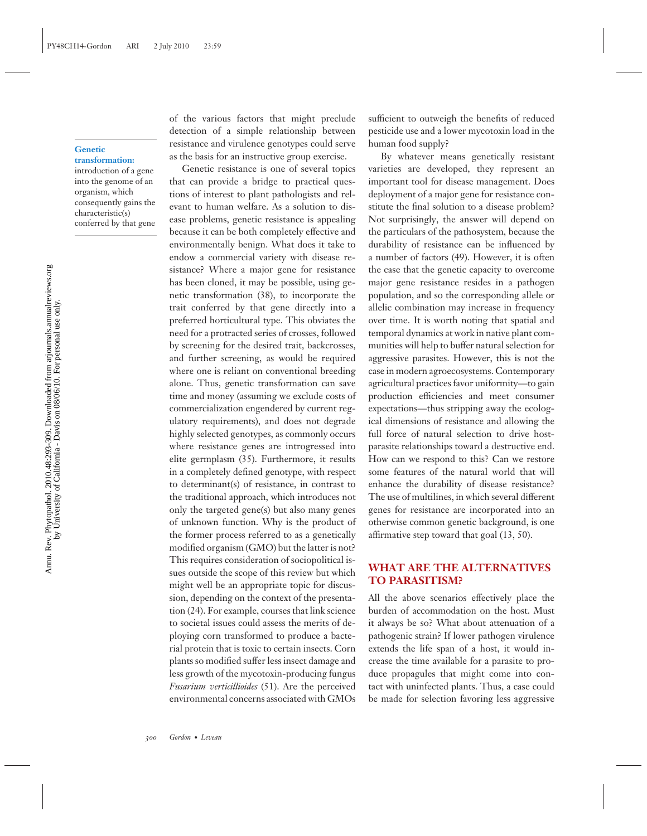## **Genetic transformation:**

introduction of a gene into the genome of an organism, which consequently gains the characteristic(s) conferred by that gene

of the various factors that might preclude detection of a simple relationship between resistance and virulence genotypes could serve as the basis for an instructive group exercise.

Genetic resistance is one of several topics that can provide a bridge to practical questions of interest to plant pathologists and relevant to human welfare. As a solution to disease problems, genetic resistance is appealing because it can be both completely effective and environmentally benign. What does it take to endow a commercial variety with disease resistance? Where a major gene for resistance has been cloned, it may be possible, using genetic transformation (38), to incorporate the trait conferred by that gene directly into a preferred horticultural type. This obviates the need for a protracted series of crosses, followed by screening for the desired trait, backcrosses, and further screening, as would be required where one is reliant on conventional breeding alone. Thus, genetic transformation can save time and money (assuming we exclude costs of commercialization engendered by current regulatory requirements), and does not degrade highly selected genotypes, as commonly occurs where resistance genes are introgressed into elite germplasm (35). Furthermore, it results in a completely defined genotype, with respect to determinant(s) of resistance, in contrast to the traditional approach, which introduces not only the targeted gene(s) but also many genes of unknown function. Why is the product of the former process referred to as a genetically modified organism (GMO) but the latter is not? This requires consideration of sociopolitical issues outside the scope of this review but which might well be an appropriate topic for discussion, depending on the context of the presentation (24). For example, courses that link science to societal issues could assess the merits of deploying corn transformed to produce a bacterial protein that is toxic to certain insects. Corn plants so modified suffer less insect damage and less growth of the mycotoxin-producing fungus *Fusarium verticillioides* (51). Are the perceived environmental concerns associated with GMOs

sufficient to outweigh the benefits of reduced pesticide use and a lower mycotoxin load in the human food supply?

By whatever means genetically resistant varieties are developed, they represent an important tool for disease management. Does deployment of a major gene for resistance constitute the final solution to a disease problem? Not surprisingly, the answer will depend on the particulars of the pathosystem, because the durability of resistance can be influenced by a number of factors (49). However, it is often the case that the genetic capacity to overcome major gene resistance resides in a pathogen population, and so the corresponding allele or allelic combination may increase in frequency over time. It is worth noting that spatial and temporal dynamics at work in native plant communities will help to buffer natural selection for aggressive parasites. However, this is not the case in modern agroecosystems. Contemporary agricultural practices favor uniformity—to gain production efficiencies and meet consumer expectations—thus stripping away the ecological dimensions of resistance and allowing the full force of natural selection to drive hostparasite relationships toward a destructive end. How can we respond to this? Can we restore some features of the natural world that will enhance the durability of disease resistance? The use of multilines, in which several different genes for resistance are incorporated into an otherwise common genetic background, is one affirmative step toward that goal (13, 50).

## **WHAT ARE THE ALTERNATIVES TO PARASITISM?**

All the above scenarios effectively place the burden of accommodation on the host. Must it always be so? What about attenuation of a pathogenic strain? If lower pathogen virulence extends the life span of a host, it would increase the time available for a parasite to produce propagules that might come into contact with uninfected plants. Thus, a case could be made for selection favoring less aggressive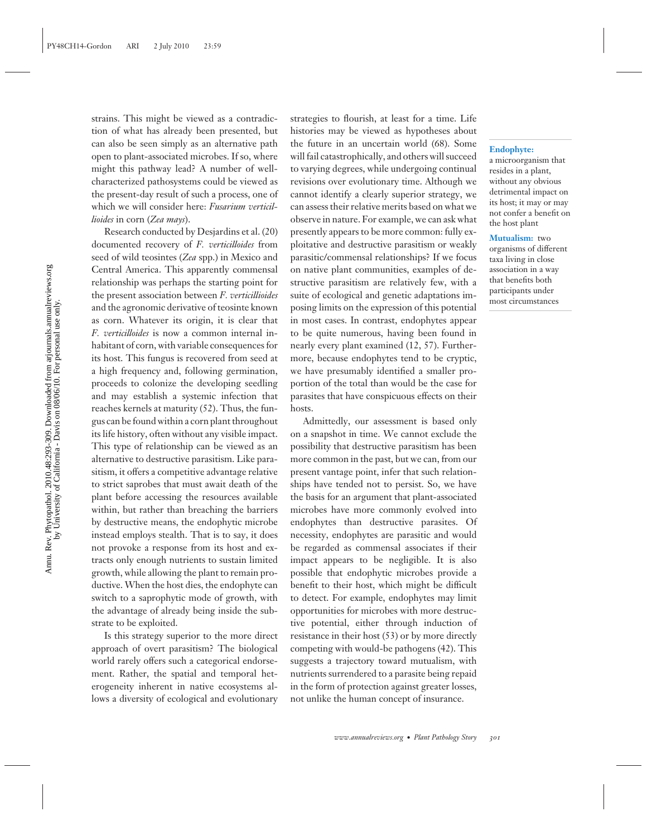strains. This might be viewed as a contradiction of what has already been presented, but can also be seen simply as an alternative path open to plant-associated microbes. If so, where might this pathway lead? A number of wellcharacterized pathosystems could be viewed as the present-day result of such a process, one of which we will consider here: *Fusarium verticillioides* in corn (*Zea mays*).

Research conducted by Desjardins et al. (20) documented recovery of *F. verticilloides* from seed of wild teosintes (*Zea* spp.) in Mexico and Central America. This apparently commensal relationship was perhaps the starting point for the present association between *F. verticillioides* and the agronomic derivative of teosinte known as corn. Whatever its origin, it is clear that *F. verticilloides* is now a common internal inhabitant of corn, with variable consequences for its host. This fungus is recovered from seed at a high frequency and, following germination, proceeds to colonize the developing seedling and may establish a systemic infection that reaches kernels at maturity (52). Thus, the fungus can be found within a corn plant throughout its life history, often without any visible impact. This type of relationship can be viewed as an alternative to destructive parasitism. Like parasitism, it offers a competitive advantage relative to strict saprobes that must await death of the plant before accessing the resources available within, but rather than breaching the barriers by destructive means, the endophytic microbe instead employs stealth. That is to say, it does not provoke a response from its host and extracts only enough nutrients to sustain limited growth, while allowing the plant to remain productive. When the host dies, the endophyte can switch to a saprophytic mode of growth, with the advantage of already being inside the substrate to be exploited.

Is this strategy superior to the more direct approach of overt parasitism? The biological world rarely offers such a categorical endorsement. Rather, the spatial and temporal heterogeneity inherent in native ecosystems allows a diversity of ecological and evolutionary

strategies to flourish, at least for a time. Life histories may be viewed as hypotheses about the future in an uncertain world (68). Some will fail catastrophically, and others will succeed to varying degrees, while undergoing continual revisions over evolutionary time. Although we cannot identify a clearly superior strategy, we can assess their relative merits based on what we observe in nature. For example, we can ask what presently appears to be more common: fully exploitative and destructive parasitism or weakly parasitic/commensal relationships? If we focus on native plant communities, examples of destructive parasitism are relatively few, with a suite of ecological and genetic adaptations imposing limits on the expression of this potential in most cases. In contrast, endophytes appear to be quite numerous, having been found in nearly every plant examined (12, 57). Furthermore, because endophytes tend to be cryptic, we have presumably identified a smaller proportion of the total than would be the case for parasites that have conspicuous effects on their hosts.

Admittedly, our assessment is based only on a snapshot in time. We cannot exclude the possibility that destructive parasitism has been more common in the past, but we can, from our present vantage point, infer that such relationships have tended not to persist. So, we have the basis for an argument that plant-associated microbes have more commonly evolved into endophytes than destructive parasites. Of necessity, endophytes are parasitic and would be regarded as commensal associates if their impact appears to be negligible. It is also possible that endophytic microbes provide a benefit to their host, which might be difficult to detect. For example, endophytes may limit opportunities for microbes with more destructive potential, either through induction of resistance in their host (53) or by more directly competing with would-be pathogens (42). This suggests a trajectory toward mutualism, with nutrients surrendered to a parasite being repaid in the form of protection against greater losses, not unlike the human concept of insurance.

#### **Endophyte:**

a microorganism that resides in a plant, without any obvious detrimental impact on its host; it may or may not confer a benefit on the host plant

**Mutualism:** two organisms of different taxa living in close association in a way that benefits both participants under most circumstances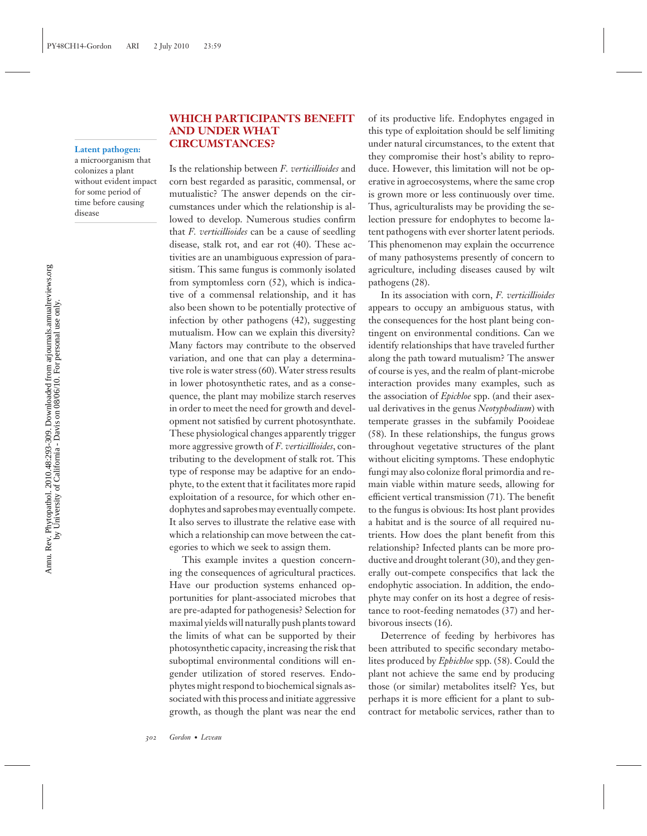#### **Latent pathogen:**

a microorganism that colonizes a plant without evident impact for some period of time before causing disease

## **WHICH PARTICIPANTS BENEFIT AND UNDER WHAT CIRCUMSTANCES?**

Is the relationship between *F. verticillioides* and corn best regarded as parasitic, commensal, or mutualistic? The answer depends on the circumstances under which the relationship is allowed to develop. Numerous studies confirm that *F. verticillioides* can be a cause of seedling disease, stalk rot, and ear rot (40). These activities are an unambiguous expression of parasitism. This same fungus is commonly isolated from symptomless corn (52), which is indicative of a commensal relationship, and it has also been shown to be potentially protective of infection by other pathogens (42), suggesting mutualism. How can we explain this diversity? Many factors may contribute to the observed variation, and one that can play a determinative role is water stress (60). Water stress results in lower photosynthetic rates, and as a consequence, the plant may mobilize starch reserves in order to meet the need for growth and development not satisfied by current photosynthate. These physiological changes apparently trigger more aggressive growth of *F. verticillioides*, contributing to the development of stalk rot. This type of response may be adaptive for an endophyte, to the extent that it facilitates more rapid exploitation of a resource, for which other endophytes and saprobes may eventually compete. It also serves to illustrate the relative ease with which a relationship can move between the categories to which we seek to assign them.

This example invites a question concerning the consequences of agricultural practices. Have our production systems enhanced opportunities for plant-associated microbes that are pre-adapted for pathogenesis? Selection for maximal yields will naturally push plants toward the limits of what can be supported by their photosynthetic capacity, increasing the risk that suboptimal environmental conditions will engender utilization of stored reserves. Endophytes might respond to biochemical signals associated with this process and initiate aggressive growth, as though the plant was near the end

of its productive life. Endophytes engaged in this type of exploitation should be self limiting under natural circumstances, to the extent that they compromise their host's ability to reproduce. However, this limitation will not be operative in agroecosystems, where the same crop is grown more or less continuously over time. Thus, agriculturalists may be providing the selection pressure for endophytes to become latent pathogens with ever shorter latent periods. This phenomenon may explain the occurrence of many pathosystems presently of concern to agriculture, including diseases caused by wilt pathogens (28).

In its association with corn, *F. verticillioides* appears to occupy an ambiguous status, with the consequences for the host plant being contingent on environmental conditions. Can we identify relationships that have traveled further along the path toward mutualism? The answer of course is yes, and the realm of plant-microbe interaction provides many examples, such as the association of *Epichloe* spp. (and their asexual derivatives in the genus *Neotyphodium*) with temperate grasses in the subfamily Pooideae (58). In these relationships, the fungus grows throughout vegetative structures of the plant without eliciting symptoms. These endophytic fungi may also colonize floral primordia and remain viable within mature seeds, allowing for efficient vertical transmission (71). The benefit to the fungus is obvious: Its host plant provides a habitat and is the source of all required nutrients. How does the plant benefit from this relationship? Infected plants can be more productive and drought tolerant (30), and they generally out-compete conspecifics that lack the endophytic association. In addition, the endophyte may confer on its host a degree of resistance to root-feeding nematodes (37) and herbivorous insects (16).

Deterrence of feeding by herbivores has been attributed to specific secondary metabolites produced by *Ephichloe* spp. (58). Could the plant not achieve the same end by producing those (or similar) metabolites itself? Yes, but perhaps it is more efficient for a plant to subcontract for metabolic services, rather than to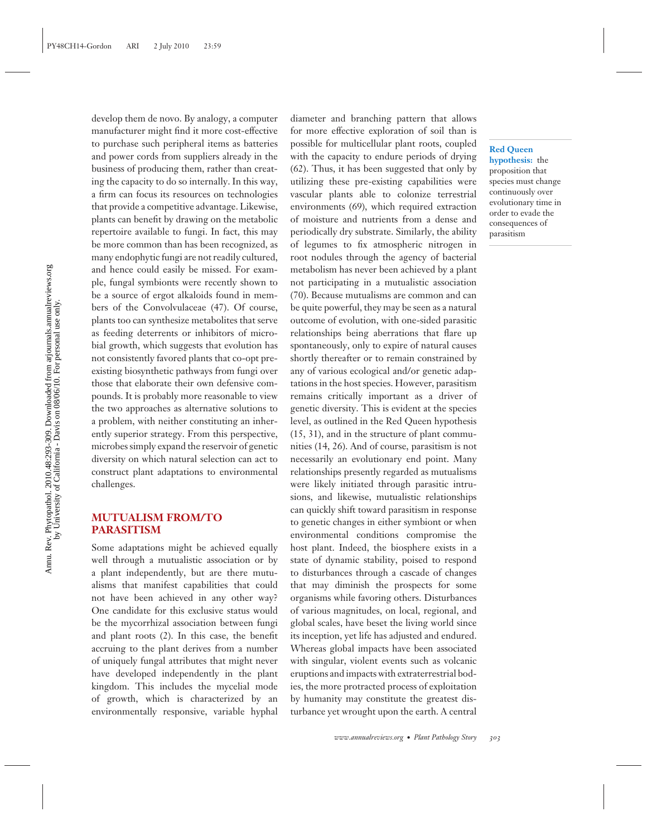develop them de novo. By analogy, a computer manufacturer might find it more cost-effective to purchase such peripheral items as batteries and power cords from suppliers already in the business of producing them, rather than creating the capacity to do so internally. In this way, a firm can focus its resources on technologies that provide a competitive advantage. Likewise, plants can benefit by drawing on the metabolic repertoire available to fungi. In fact, this may be more common than has been recognized, as many endophytic fungi are not readily cultured, and hence could easily be missed. For example, fungal symbionts were recently shown to be a source of ergot alkaloids found in members of the Convolvulaceae (47). Of course, plants too can synthesize metabolites that serve as feeding deterrents or inhibitors of microbial growth, which suggests that evolution has not consistently favored plants that co-opt preexisting biosynthetic pathways from fungi over those that elaborate their own defensive compounds. It is probably more reasonable to view the two approaches as alternative solutions to a problem, with neither constituting an inherently superior strategy. From this perspective, microbes simply expand the reservoir of genetic diversity on which natural selection can act to construct plant adaptations to environmental challenges.

## **MUTUALISM FROM/TO PARASITISM**

Some adaptations might be achieved equally well through a mutualistic association or by a plant independently, but are there mutualisms that manifest capabilities that could not have been achieved in any other way? One candidate for this exclusive status would be the mycorrhizal association between fungi and plant roots (2). In this case, the benefit accruing to the plant derives from a number of uniquely fungal attributes that might never have developed independently in the plant kingdom. This includes the mycelial mode of growth, which is characterized by an environmentally responsive, variable hyphal diameter and branching pattern that allows for more effective exploration of soil than is possible for multicellular plant roots, coupled with the capacity to endure periods of drying (62). Thus, it has been suggested that only by utilizing these pre-existing capabilities were vascular plants able to colonize terrestrial environments (69), which required extraction of moisture and nutrients from a dense and periodically dry substrate. Similarly, the ability of legumes to fix atmospheric nitrogen in root nodules through the agency of bacterial metabolism has never been achieved by a plant not participating in a mutualistic association (70). Because mutualisms are common and can be quite powerful, they may be seen as a natural outcome of evolution, with one-sided parasitic relationships being aberrations that flare up spontaneously, only to expire of natural causes shortly thereafter or to remain constrained by any of various ecological and/or genetic adaptations in the host species. However, parasitism remains critically important as a driver of genetic diversity. This is evident at the species level, as outlined in the Red Queen hypothesis (15, 31), and in the structure of plant communities (14, 26). And of course, parasitism is not necessarily an evolutionary end point. Many relationships presently regarded as mutualisms were likely initiated through parasitic intrusions, and likewise, mutualistic relationships can quickly shift toward parasitism in response to genetic changes in either symbiont or when environmental conditions compromise the host plant. Indeed, the biosphere exists in a state of dynamic stability, poised to respond to disturbances through a cascade of changes that may diminish the prospects for some organisms while favoring others. Disturbances of various magnitudes, on local, regional, and global scales, have beset the living world since its inception, yet life has adjusted and endured. Whereas global impacts have been associated with singular, violent events such as volcanic eruptions and impacts with extraterrestrial bodies, the more protracted process of exploitation by humanity may constitute the greatest disturbance yet wrought upon the earth. A central

#### **Red Queen hypothesis:** the proposition that species must change continuously over evolutionary time in order to evade the consequences of parasitism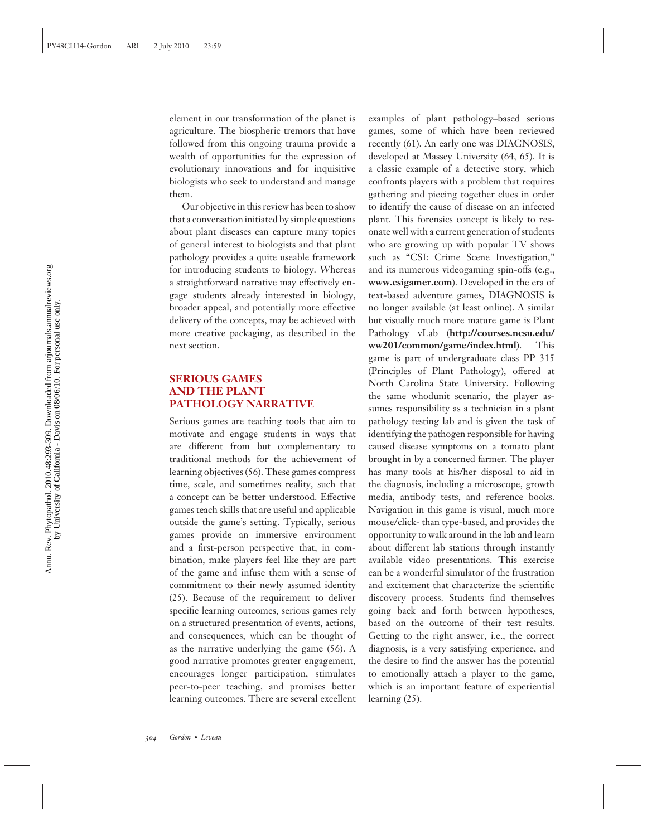element in our transformation of the planet is agriculture. The biospheric tremors that have followed from this ongoing trauma provide a wealth of opportunities for the expression of evolutionary innovations and for inquisitive biologists who seek to understand and manage them.

Our objective in this review has been to show that a conversation initiated by simple questions about plant diseases can capture many topics of general interest to biologists and that plant pathology provides a quite useable framework for introducing students to biology. Whereas a straightforward narrative may effectively engage students already interested in biology, broader appeal, and potentially more effective delivery of the concepts, may be achieved with more creative packaging, as described in the next section.

## **SERIOUS GAMES AND THE PLANT PATHOLOGY NARRATIVE**

Serious games are teaching tools that aim to motivate and engage students in ways that are different from but complementary to traditional methods for the achievement of learning objectives (56). These games compress time, scale, and sometimes reality, such that a concept can be better understood. Effective games teach skills that are useful and applicable outside the game's setting. Typically, serious games provide an immersive environment and a first-person perspective that, in combination, make players feel like they are part of the game and infuse them with a sense of commitment to their newly assumed identity (25). Because of the requirement to deliver specific learning outcomes, serious games rely on a structured presentation of events, actions, and consequences, which can be thought of as the narrative underlying the game (56). A good narrative promotes greater engagement, encourages longer participation, stimulates peer-to-peer teaching, and promises better learning outcomes. There are several excellent

examples of plant pathology–based serious games, some of which have been reviewed recently (61). An early one was DIAGNOSIS, developed at Massey University (64, 65). It is a classic example of a detective story, which confronts players with a problem that requires gathering and piecing together clues in order to identify the cause of disease on an infected plant. This forensics concept is likely to resonate well with a current generation of students who are growing up with popular TV shows such as "CSI: Crime Scene Investigation," and its numerous videogaming spin-offs (e.g., **www.csigamer.com**). Developed in the era of text-based adventure games, DIAGNOSIS is no longer available (at least online). A similar but visually much more mature game is Plant Pathology vLab (**http://courses.ncsu.edu/ ww201/common/game/index.html**). This game is part of undergraduate class PP 315 (Principles of Plant Pathology), offered at North Carolina State University. Following the same whodunit scenario, the player assumes responsibility as a technician in a plant pathology testing lab and is given the task of identifying the pathogen responsible for having caused disease symptoms on a tomato plant brought in by a concerned farmer. The player has many tools at his/her disposal to aid in the diagnosis, including a microscope, growth media, antibody tests, and reference books. Navigation in this game is visual, much more mouse/click- than type-based, and provides the opportunity to walk around in the lab and learn about different lab stations through instantly available video presentations. This exercise can be a wonderful simulator of the frustration and excitement that characterize the scientific discovery process. Students find themselves going back and forth between hypotheses, based on the outcome of their test results. Getting to the right answer, i.e., the correct diagnosis, is a very satisfying experience, and the desire to find the answer has the potential to emotionally attach a player to the game, which is an important feature of experiential learning (25).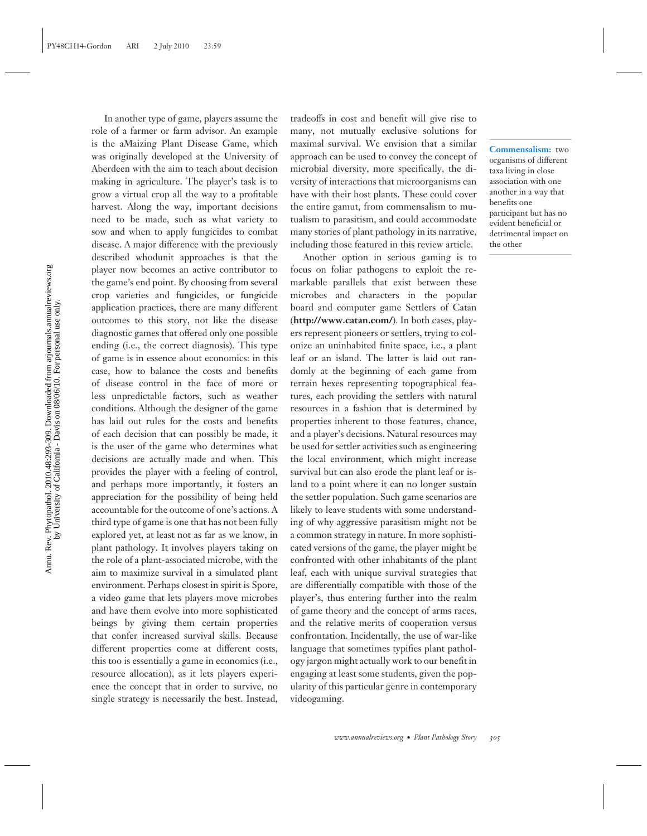In another type of game, players assume the role of a farmer or farm advisor. An example is the aMaizing Plant Disease Game, which was originally developed at the University of Aberdeen with the aim to teach about decision making in agriculture. The player's task is to grow a virtual crop all the way to a profitable harvest. Along the way, important decisions need to be made, such as what variety to sow and when to apply fungicides to combat disease. A major difference with the previously described whodunit approaches is that the player now becomes an active contributor to the game's end point. By choosing from several crop varieties and fungicides, or fungicide application practices, there are many different outcomes to this story, not like the disease diagnostic games that offered only one possible ending (i.e., the correct diagnosis). This type of game is in essence about economics: in this case, how to balance the costs and benefits of disease control in the face of more or less unpredictable factors, such as weather conditions. Although the designer of the game has laid out rules for the costs and benefits of each decision that can possibly be made, it is the user of the game who determines what decisions are actually made and when. This provides the player with a feeling of control, and perhaps more importantly, it fosters an appreciation for the possibility of being held accountable for the outcome of one's actions. A third type of game is one that has not been fully explored yet, at least not as far as we know, in plant pathology. It involves players taking on the role of a plant-associated microbe, with the aim to maximize survival in a simulated plant environment. Perhaps closest in spirit is Spore, a video game that lets players move microbes and have them evolve into more sophisticated beings by giving them certain properties that confer increased survival skills. Because different properties come at different costs, this too is essentially a game in economics (i.e., resource allocation), as it lets players experience the concept that in order to survive, no single strategy is necessarily the best. Instead,

tradeoffs in cost and benefit will give rise to many, not mutually exclusive solutions for maximal survival. We envision that a similar approach can be used to convey the concept of microbial diversity, more specifically, the diversity of interactions that microorganisms can have with their host plants. These could cover the entire gamut, from commensalism to mutualism to parasitism, and could accommodate many stories of plant pathology in its narrative, including those featured in this review article.

Another option in serious gaming is to focus on foliar pathogens to exploit the remarkable parallels that exist between these microbes and characters in the popular board and computer game Settlers of Catan (**http://www.catan.com/**). In both cases, players represent pioneers or settlers, trying to colonize an uninhabited finite space, i.e., a plant leaf or an island. The latter is laid out randomly at the beginning of each game from terrain hexes representing topographical features, each providing the settlers with natural resources in a fashion that is determined by properties inherent to those features, chance, and a player's decisions. Natural resources may be used for settler activities such as engineering the local environment, which might increase survival but can also erode the plant leaf or island to a point where it can no longer sustain the settler population. Such game scenarios are likely to leave students with some understanding of why aggressive parasitism might not be a common strategy in nature. In more sophisticated versions of the game, the player might be confronted with other inhabitants of the plant leaf, each with unique survival strategies that are differentially compatible with those of the player's, thus entering further into the realm of game theory and the concept of arms races, and the relative merits of cooperation versus confrontation. Incidentally, the use of war-like language that sometimes typifies plant pathology jargon might actually work to our benefit in engaging at least some students, given the popularity of this particular genre in contemporary videogaming.

**Commensalism:** two organisms of different taxa living in close association with one another in a way that benefits one participant but has no evident beneficial or detrimental impact on the other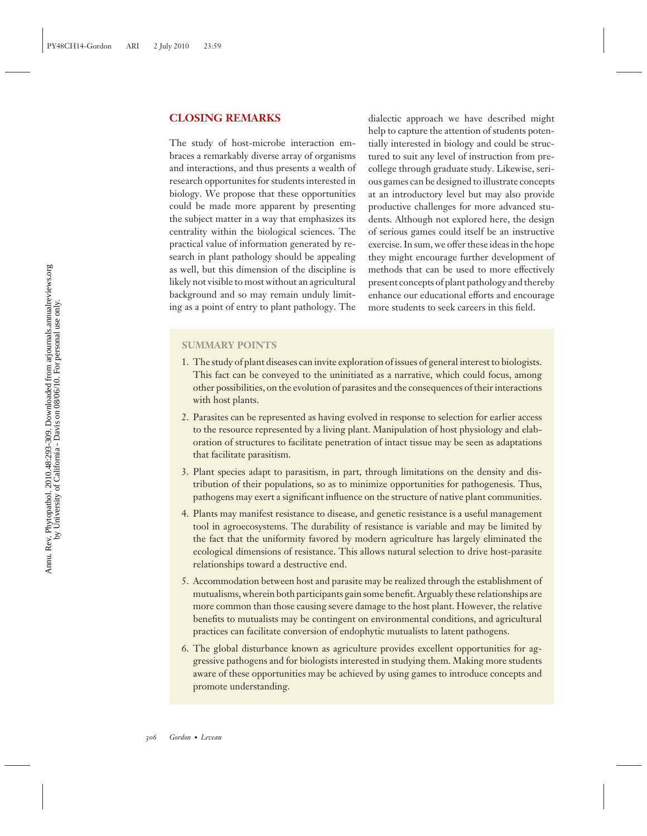## **CLOSING REMARKS**

The study of host-microbe interaction embraces a remarkably diverse array of organisms and interactions, and thus presents a wealth of research opportunites for students interested in biology. We propose that these opportunities could be made more apparent by presenting the subject matter in a way that emphasizes its centrality within the biological sciences. The practical value of information generated by research in plant pathology should be appealing as well, but this dimension of the discipline is likely not visible to most without an agricultural background and so may remain unduly limiting as a point of entry to plant pathology. The

dialectic approach we have described might help to capture the attention of students potentially interested in biology and could be structured to suit any level of instruction from precollege through graduate study. Likewise, serious games can be designed to illustrate concepts at an introductory level but may also provide productive challenges for more advanced students. Although not explored here, the design of serious games could itself be an instructive exercise. In sum, we offer these ideas in the hope they might encourage further development of methods that can be used to more effectively present concepts of plant pathology and thereby enhance our educational efforts and encourage more students to seek careers in this field.

#### **SUMMARY POINTS**

- 1. The study of plant diseases can invite exploration of issues of general interest to biologists. This fact can be conveyed to the uninitiated as a narrative, which could focus, among other possibilities, on the evolution of parasites and the consequences of their interactions with host plants.
- 2. Parasites can be represented as having evolved in response to selection for earlier access to the resource represented by a living plant. Manipulation of host physiology and elaboration of structures to facilitate penetration of intact tissue may be seen as adaptations that facilitate parasitism.
- 3. Plant species adapt to parasitism, in part, through limitations on the density and distribution of their populations, so as to minimize opportunities for pathogenesis. Thus, pathogens may exert a significant influence on the structure of native plant communities.
- 4. Plants may manifest resistance to disease, and genetic resistance is a useful management tool in agroecosystems. The durability of resistance is variable and may be limited by the fact that the uniformity favored by modern agriculture has largely eliminated the ecological dimensions of resistance. This allows natural selection to drive host-parasite relationships toward a destructive end.
- 5. Accommodation between host and parasite may be realized through the establishment of mutualisms, wherein both participants gain some benefit. Arguably these relationships are more common than those causing severe damage to the host plant. However, the relative benefits to mutualists may be contingent on environmental conditions, and agricultural practices can facilitate conversion of endophytic mutualists to latent pathogens.
- 6. The global disturbance known as agriculture provides excellent opportunities for aggressive pathogens and for biologists interested in studying them. Making more students aware of these opportunities may be achieved by using games to introduce concepts and promote understanding.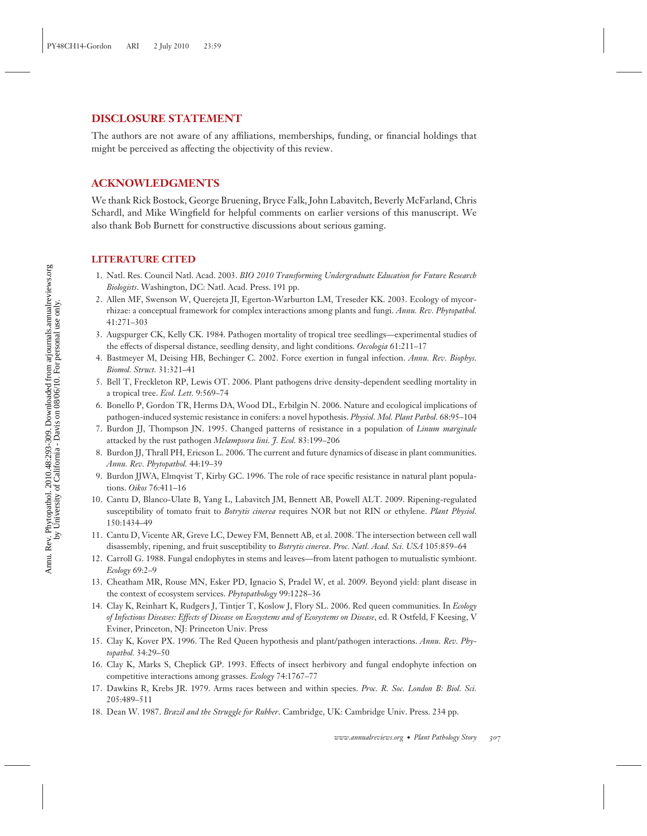## **DISCLOSURE STATEMENT**

The authors are not aware of any affiliations, memberships, funding, or financial holdings that might be perceived as affecting the objectivity of this review.

## **ACKNOWLEDGMENTS**

We thank Rick Bostock, George Bruening, Bryce Falk, John Labavitch, Beverly McFarland, Chris Schardl, and Mike Wingfield for helpful comments on earlier versions of this manuscript. We also thank Bob Burnett for constructive discussions about serious gaming.

#### **LITERATURE CITED**

- 1. Natl. Res. Council Natl. Acad. 2003. *BIO 2010 Transforming Undergraduate Education for Future Research Biologists*. Washington, DC: Natl. Acad. Press. 191 pp.
- 2. Allen MF, Swenson W, Querejeta JI, Egerton-Warburton LM, Treseder KK. 2003. Ecology of mycorrhizae: a conceptual framework for complex interactions among plants and fungi. *Annu. Rev. Phytopathol.* 41:271–303
- 3. Augspurger CK, Kelly CK. 1984. Pathogen mortality of tropical tree seedlings—experimental studies of the effects of dispersal distance, seedling density, and light conditions. *Oecologia* 61:211–17
- 4. Bastmeyer M, Deising HB, Bechinger C. 2002. Force exertion in fungal infection. *Annu. Rev. Biophys. Biomol. Struct.* 31:321–41
- 5. Bell T, Freckleton RP, Lewis OT. 2006. Plant pathogens drive density-dependent seedling mortality in a tropical tree. *Ecol. Lett.* 9:569–74
- 6. Bonello P, Gordon TR, Herms DA, Wood DL, Erbilgin N. 2006. Nature and ecological implications of pathogen-induced systemic resistance in conifers: a novel hypothesis. *Physiol. Mol. Plant Pathol.* 68:95–104
- 7. Burdon JJ, Thompson JN. 1995. Changed patterns of resistance in a population of *Linum marginale* attacked by the rust pathogen *Melampsora lini*. *J. Ecol.* 83:199–206
- 8. Burdon JJ, Thrall PH, Ericson L. 2006. The current and future dynamics of disease in plant communities. *Annu. Rev. Phytopathol.* 44:19–39
- 9. Burdon JJWA, Elmqvist T, Kirby GC. 1996. The role of race specific resistance in natural plant populations. *Oikos* 76:411–16
- 10. Cantu D, Blanco-Ulate B, Yang L, Labavitch JM, Bennett AB, Powell ALT. 2009. Ripening-regulated susceptibility of tomato fruit to *Botrytis cinerea* requires NOR but not RIN or ethylene. *Plant Physiol.* 150:1434–49
- 11. Cantu D, Vicente AR, Greve LC, Dewey FM, Bennett AB, et al. 2008. The intersection between cell wall disassembly, ripening, and fruit susceptibility to *Botrytis cinerea*. *Proc. Natl. Acad. Sci. USA* 105:859–64
- 12. Carroll G. 1988. Fungal endophytes in stems and leaves—from latent pathogen to mutualistic symbiont. *Ecology* 69:2–9
- 13. Cheatham MR, Rouse MN, Esker PD, Ignacio S, Pradel W, et al. 2009. Beyond yield: plant disease in the context of ecosystem services. *Phytopathology* 99:1228–36
- 14. Clay K, Reinhart K, Rudgers J, Tintjer T, Koslow J, Flory SL. 2006. Red queen communities. In *Ecology of Infectious Diseases: Effects of Disease on Ecosystems and of Ecosystems on Disease*, ed. R Ostfeld, F Keesing, V Eviner, Princeton, NJ: Princeton Univ. Press
- 15. Clay K, Kover PX. 1996. The Red Queen hypothesis and plant/pathogen interactions. *Annu. Rev. Phytopathol.* 34:29–50
- 16. Clay K, Marks S, Cheplick GP. 1993. Effects of insect herbivory and fungal endophyte infection on competitive interactions among grasses. *Ecology* 74:1767–77
- 17. Dawkins R, Krebs JR. 1979. Arms races between and within species. *Proc. R. Soc. London B: Biol. Sci.* 205:489–511
- 18. Dean W. 1987. *Brazil and the Struggle for Rubber*. Cambridge, UK: Cambridge Univ. Press. 234 pp.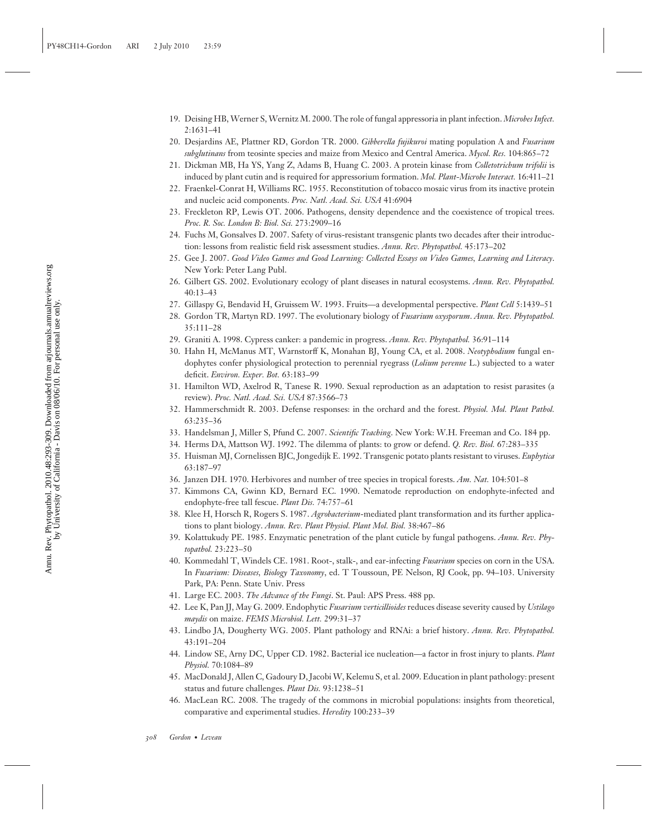- 19. Deising HB, Werner S, Wernitz M. 2000. The role of fungal appressoria in plant infection. *Microbes Infect.* 2:1631–41
- 20. Desjardins AE, Plattner RD, Gordon TR. 2000. *Gibberella fujikuroi* mating population A and *Fusarium subglutinans* from teosinte species and maize from Mexico and Central America. *Mycol. Res.* 104:865–72
- 21. Dickman MB, Ha YS, Yang Z, Adams B, Huang C. 2003. A protein kinase from *Colletotrichum trifolii* is induced by plant cutin and is required for appressorium formation. *Mol. Plant-Microbe Interact.* 16:411–21
- 22. Fraenkel-Conrat H, Williams RC. 1955. Reconstitution of tobacco mosaic virus from its inactive protein and nucleic acid components. *Proc. Natl. Acad. Sci. USA* 41:6904
- 23. Freckleton RP, Lewis OT. 2006. Pathogens, density dependence and the coexistence of tropical trees. *Proc. R. Soc. London B: Biol. Sci.* 273:2909–16
- 24. Fuchs M, Gonsalves D. 2007. Safety of virus-resistant transgenic plants two decades after their introduction: lessons from realistic field risk assessment studies. *Annu. Rev. Phytopathol.* 45:173–202
- 25. Gee J. 2007. *Good Video Games and Good Learning: Collected Essays on Video Games, Learning and Literacy*. New York: Peter Lang Publ.
- 26. Gilbert GS. 2002. Evolutionary ecology of plant diseases in natural ecosystems. *Annu. Rev. Phytopathol.* 40:13–43
- 27. Gillaspy G, Bendavid H, Gruissem W. 1993. Fruits—a developmental perspective. *Plant Cell* 5:1439–51
- 28. Gordon TR, Martyn RD. 1997. The evolutionary biology of *Fusarium oxysporum*. *Annu. Rev. Phytopathol.* 35:111–28
- 29. Graniti A. 1998. Cypress canker: a pandemic in progress. *Annu. Rev. Phytopathol.* 36:91–114
- 30. Hahn H, McManus MT, Warnstorff K, Monahan BJ, Young CA, et al. 2008. *Neotyphodium* fungal endophytes confer physiological protection to perennial ryegrass (*Lolium perenne* L.) subjected to a water deficit. *Environ. Exper. Bot.* 63:183–99
- 31. Hamilton WD, Axelrod R, Tanese R. 1990. Sexual reproduction as an adaptation to resist parasites (a review). *Proc. Natl. Acad. Sci. USA* 87:3566–73
- 32. Hammerschmidt R. 2003. Defense responses: in the orchard and the forest. *Physiol. Mol. Plant Pathol.* 63:235–36
- 33. Handelsman J, Miller S, Pfund C. 2007. *Scientific Teaching*. New York: W.H. Freeman and Co. 184 pp.
- 34. Herms DA, Mattson WJ. 1992. The dilemma of plants: to grow or defend. *Q. Rev. Biol.* 67:283–335
- 35. Huisman MJ, Cornelissen BJC, Jongedijk E. 1992. Transgenic potato plants resistant to viruses. *Euphytica* 63:187–97
- 36. Janzen DH. 1970. Herbivores and number of tree species in tropical forests. *Am. Nat.* 104:501–8
- 37. Kimmons CA, Gwinn KD, Bernard EC. 1990. Nematode reproduction on endophyte-infected and endophyte-free tall fescue. *Plant Dis.* 74:757–61
- 38. Klee H, Horsch R, Rogers S. 1987. *Agrobacterium*-mediated plant transformation and its further applications to plant biology. *Annu. Rev. Plant Physiol. Plant Mol. Biol.* 38:467–86
- 39. Kolattukudy PE. 1985. Enzymatic penetration of the plant cuticle by fungal pathogens. *Annu. Rev. Phytopathol.* 23:223–50
- 40. Kommedahl T, Windels CE. 1981. Root-, stalk-, and ear-infecting *Fusarium* species on corn in the USA. In *Fusarium: Diseases, Biology Taxonomy*, ed. T Toussoun, PE Nelson, RJ Cook, pp. 94–103. University Park, PA: Penn. State Univ. Press
- 41. Large EC. 2003. *The Advance of the Fungi*. St. Paul: APS Press. 488 pp.
- 42. Lee K, Pan JJ, May G. 2009. Endophytic *Fusarium verticillioides* reduces disease severity caused by *Ustilago maydis* on maize. *FEMS Microbiol. Lett.* 299:31–37
- 43. Lindbo JA, Dougherty WG. 2005. Plant pathology and RNAi: a brief history. *Annu. Rev. Phytopathol.* 43:191–204
- 44. Lindow SE, Arny DC, Upper CD. 1982. Bacterial ice nucleation—a factor in frost injury to plants. *Plant Physiol.* 70:1084–89
- 45. MacDonald J, Allen C, Gadoury D, Jacobi W, Kelemu S, et al. 2009. Education in plant pathology: present status and future challenges. *Plant Dis.* 93:1238–51
- 46. MacLean RC. 2008. The tragedy of the commons in microbial populations: insights from theoretical, comparative and experimental studies. *Heredity* 100:233–39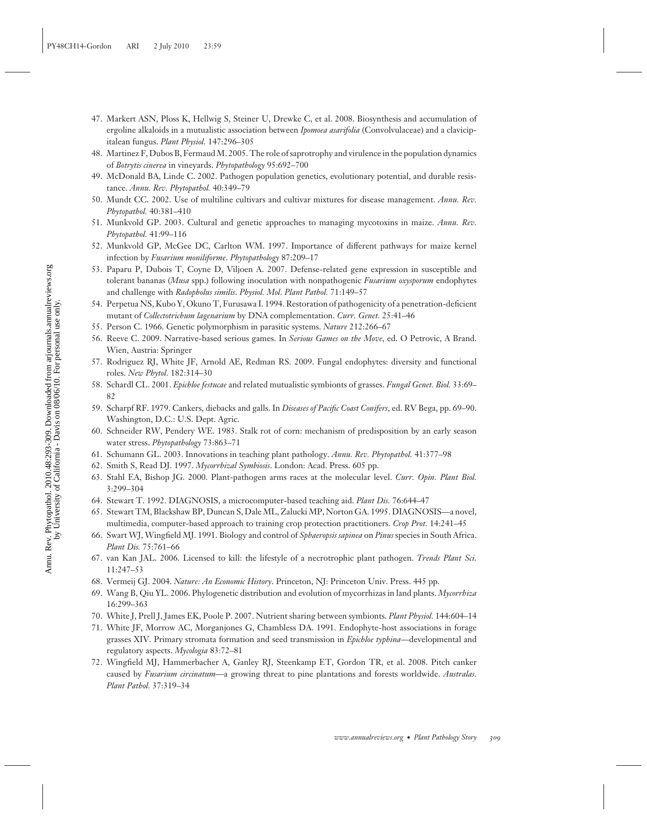- 47. Markert ASN, Ploss K, Hellwig S, Steiner U, Drewke C, et al. 2008. Biosynthesis and accumulation of ergoline alkaloids in a mutualistic association between *Ipomoea asarifolia* (Convolvulaceae) and a clavicipitalean fungus. *Plant Physiol.* 147:296–305
- 48. Martinez F, Dubos B, Fermaud M. 2005. The role of saprotrophy and virulence in the population dynamics of *Botrytis cinerea* in vineyards. *Phytopathology* 95:692–700
- 49. McDonald BA, Linde C. 2002. Pathogen population genetics, evolutionary potential, and durable resistance. *Annu. Rev. Phytopathol.* 40:349–79
- 50. Mundt CC. 2002. Use of multiline cultivars and cultivar mixtures for disease management. *Annu. Rev. Phytopathol.* 40:381–410
- 51. Munkvold GP. 2003. Cultural and genetic approaches to managing mycotoxins in maize. *Annu. Rev. Phytopathol.* 41:99–116
- 52. Munkvold GP, McGee DC, Carlton WM. 1997. Importance of different pathways for maize kernel infection by *Fusarium moniliforme*. *Phytopathology* 87:209–17
- 53. Paparu P, Dubois T, Coyne D, Viljoen A. 2007. Defense-related gene expression in susceptible and tolerant bananas (*Musa* spp.) following inoculation with nonpathogenic *Fusarium oxysporum* endophytes and challenge with *Radopholus similis*. *Physiol. Mol. Plant Pathol.* 71:149–57
- 54. Perpetua NS, Kubo Y, Okuno T, Furusawa I. 1994. Restoration of pathogenicity of a penetration-deficient mutant of *Collectotrichum lagenarium* by DNA complementation. *Curr. Genet.* 25:41–46
- 55. Person C. 1966. Genetic polymorphism in parasitic systems. *Nature* 212:266–67
- 56. Reeve C. 2009. Narrative-based serious games. In *Serious Games on the Move*, ed. O Petrovic, A Brand. Wien, Austria: Springer
- 57. Rodriguez RJ, White JF, Arnold AE, Redman RS. 2009. Fungal endophytes: diversity and functional roles. *New Phytol.* 182:314–30
- 58. Schardl CL. 2001. *Epichloe festucae* and related mutualistic symbionts of grasses. *Fungal Genet. Biol.* 33:69– 82
- 59. Scharpf RF. 1979. Cankers, diebacks and galls. In *Diseases of Pacific Coast Conifers*, ed. RV Bega, pp. 69–90. Washington, D.C.: U.S. Dept. Agric.
- 60. Schneider RW, Pendery WE. 1983. Stalk rot of corn: mechanism of predisposition by an early season water stress. *Phytopathology* 73:863–71
- 61. Schumann GL. 2003. Innovations in teaching plant pathology. *Annu. Rev. Phytopathol.* 41:377–98
- 62. Smith S, Read DJ. 1997. *Mycorrhizal Symbiosis*. London: Acad. Press. 605 pp.
- 63. Stahl EA, Bishop JG. 2000. Plant-pathogen arms races at the molecular level. *Curr. Opin. Plant Biol.* 3:299–304
- 64. Stewart T. 1992. DIAGNOSIS, a microcomputer-based teaching aid. *Plant Dis.* 76:644–47
- 65. Stewart TM, Blackshaw BP, Duncan S, Dale ML, Zalucki MP, Norton GA. 1995. DIAGNOSIS—a novel, multimedia, computer-based approach to training crop protection practitioners. *Crop Prot.* 14:241–45
- 66. Swart WJ, Wingfield MJ. 1991. Biology and control of *Sphaeropsis sapinea* on *Pinus* species in South Africa. *Plant Dis.* 75:761–66
- 67. van Kan JAL. 2006. Licensed to kill: the lifestyle of a necrotrophic plant pathogen. *Trends Plant Sci.* 11:247–53
- 68. Vermeij GJ. 2004. *Nature: An Economic History*. Princeton, NJ: Princeton Univ. Press. 445 pp.
- 69. Wang B, Qiu YL. 2006. Phylogenetic distribution and evolution of mycorrhizas in land plants. *Mycorrhiza* 16:299–363
- 70. White J, Prell J, James EK, Poole P. 2007. Nutrient sharing between symbionts. *Plant Physiol.* 144:604–14
- 71. White JF, Morrow AC, Morganjones G, Chambless DA. 1991. Endophyte-host associations in forage grasses XIV. Primary stromata formation and seed transmission in *Epichloe typhina*—developmental and regulatory aspects. *Mycologia* 83:72–81
- 72. Wingfield MJ, Hammerbacher A, Ganley RJ, Steenkamp ET, Gordon TR, et al. 2008. Pitch canker caused by *Fusarium circinatum*—a growing threat to pine plantations and forests worldwide. *Australas. Plant Pathol.* 37:319–34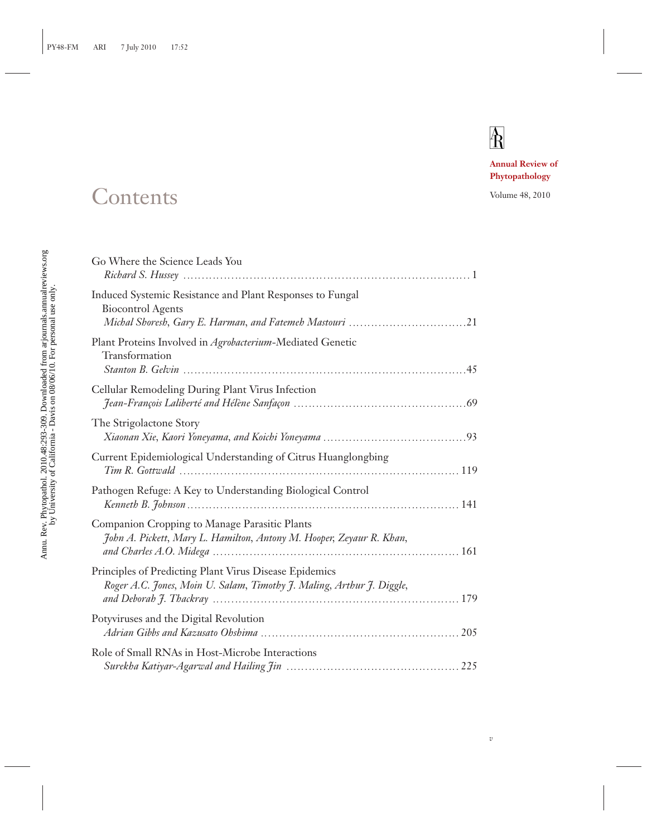# $\overline{R}$

*v*

**Annual Review of Phytopathology**

## Contents Volume 48, 2010

| Go Where the Science Leads You                                                                                                                   |  |
|--------------------------------------------------------------------------------------------------------------------------------------------------|--|
| Induced Systemic Resistance and Plant Responses to Fungal<br><b>Biocontrol Agents</b><br>Michal Shoresh, Gary E. Harman, and Fatemeh Mastouri 21 |  |
| Plant Proteins Involved in Agrobacterium-Mediated Genetic<br>Transformation                                                                      |  |
| Cellular Remodeling During Plant Virus Infection                                                                                                 |  |
| The Strigolactone Story                                                                                                                          |  |
| Current Epidemiological Understanding of Citrus Huanglongbing                                                                                    |  |
| Pathogen Refuge: A Key to Understanding Biological Control                                                                                       |  |
| Companion Cropping to Manage Parasitic Plants<br>John A. Pickett, Mary L. Hamilton, Antony M. Hooper, Zeyaur R. Khan,                            |  |
| Principles of Predicting Plant Virus Disease Epidemics<br>Roger A.C. Jones, Moin U. Salam, Timothy J. Maling, Arthur J. Diggle,                  |  |
| Potyviruses and the Digital Revolution                                                                                                           |  |
| Role of Small RNAs in Host-Microbe Interactions                                                                                                  |  |